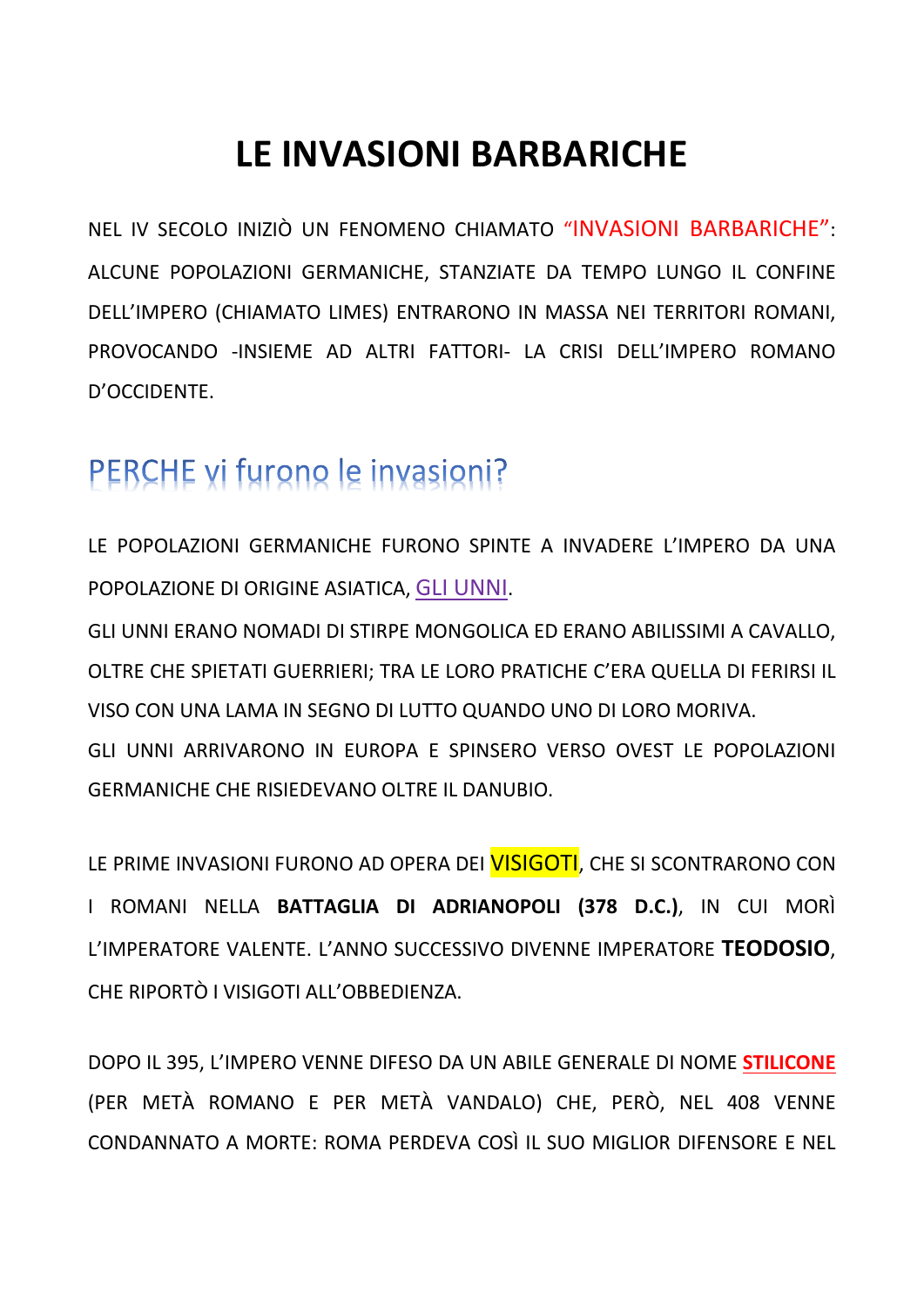## **LE INVASIONI BARBARICHE**

NEL IV SECOLO INIZIÒ UN FENOMENO CHIAMATO "INVASIONI BARBARICHE": ALCUNE POPOLAZIONI GERMANICHE, STANZIATE DA TEMPO LUNGO IL CONFINE DELL'IMPERO (CHIAMATO LIMES) ENTRARONO IN MASSA NEI TERRITORI ROMANI, PROVOCANDO - INSIEME AD ALTRI FATTORI- LA CRISI DELL'IMPERO ROMANO D'OCCIDENTE.

## PERCHE vi furono le invasioni?

LE POPOLAZIONI GERMANICHE FURONO SPINTE A INVADERE L'IMPERO DA UNA POPOLAZIONE DI ORIGINE ASIATICA, GLI UNNI.

GLI UNNI ERANO NOMADI DI STIRPE MONGOLICA ED ERANO ABILISSIMI A CAVALLO, OLTRE CHE SPIETATI GUERRIERI: TRA LE LORO PRATICHE C'ERA QUELLA DI FERIRSI IL VISO CON UNA LAMA IN SEGNO DI LUTTO QUANDO UNO DI LORO MORIVA. GLI UNNI ARRIVARONO IN EUROPA E SPINSERO VERSO OVEST LE POPOLAZIONI **GERMANICHE CHE RISIEDEVANO OLTRE IL DANUBIO.** 

LE PRIME INVASIONI FURONO AD OPERA DEI VISIGOTI. CHE SI SCONTRARONO CON I ROMANI NELLA BATTAGLIA DI ADRIANOPOLI (378 D.C.), IN CUI MORÌ L'IMPERATORE VALENTE. L'ANNO SUCCESSIVO DIVENNE IMPERATORE TEODOSIO. CHE RIPORTÒ I VISIGOTI ALL'OBBEDIENZA.

DOPO IL 395. L'IMPERO VENNE DIFESO DA UN ABILE GENERALE DI NOME STILICONE (PER METÀ ROMANO E PER METÀ VANDALO) CHE, PERÒ, NEL 408 VENNE CONDANNATO A MORTE: ROMA PERDEVA COSÌ IL SUO MIGLIOR DIFENSORE E NEL